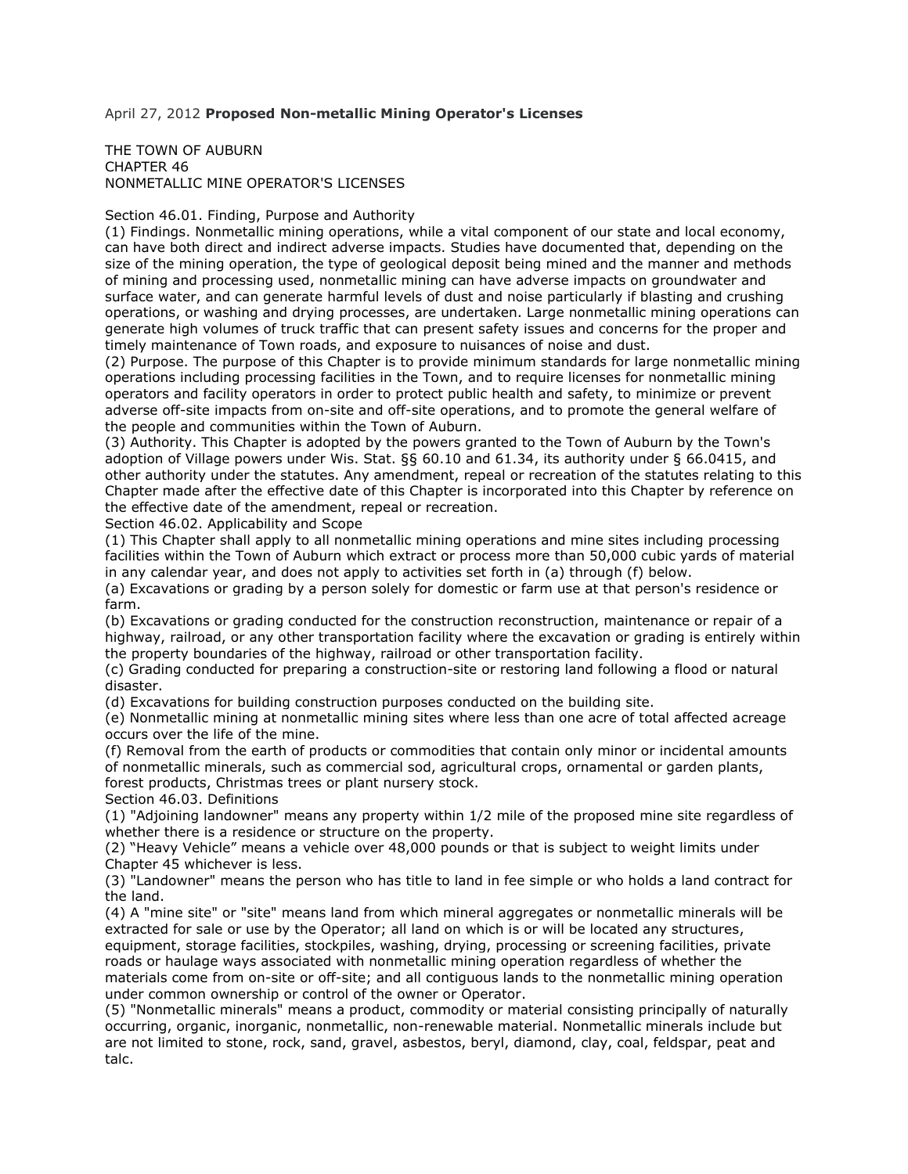## April 27, 2012 **Proposed Non-metallic Mining Operator's Licenses**

## THE TOWN OF AUBURN CHAPTER 46 NONMETALLIC MINE OPERATOR'S LICENSES

## Section 46.01. Finding, Purpose and Authority

(1) Findings. Nonmetallic mining operations, while a vital component of our state and local economy, can have both direct and indirect adverse impacts. Studies have documented that, depending on the size of the mining operation, the type of geological deposit being mined and the manner and methods of mining and processing used, nonmetallic mining can have adverse impacts on groundwater and surface water, and can generate harmful levels of dust and noise particularly if blasting and crushing operations, or washing and drying processes, are undertaken. Large nonmetallic mining operations can generate high volumes of truck traffic that can present safety issues and concerns for the proper and timely maintenance of Town roads, and exposure to nuisances of noise and dust.

(2) Purpose. The purpose of this Chapter is to provide minimum standards for large nonmetallic mining operations including processing facilities in the Town, and to require licenses for nonmetallic mining operators and facility operators in order to protect public health and safety, to minimize or prevent adverse off-site impacts from on-site and off-site operations, and to promote the general welfare of the people and communities within the Town of Auburn.

(3) Authority. This Chapter is adopted by the powers granted to the Town of Auburn by the Town's adoption of Village powers under Wis. Stat. §§ 60.10 and 61.34, its authority under § 66.0415, and other authority under the statutes. Any amendment, repeal or recreation of the statutes relating to this Chapter made after the effective date of this Chapter is incorporated into this Chapter by reference on the effective date of the amendment, repeal or recreation.

Section 46.02. Applicability and Scope

(1) This Chapter shall apply to all nonmetallic mining operations and mine sites including processing facilities within the Town of Auburn which extract or process more than 50,000 cubic yards of material in any calendar year, and does not apply to activities set forth in (a) through (f) below.

(a) Excavations or grading by a person solely for domestic or farm use at that person's residence or farm.

(b) Excavations or grading conducted for the construction reconstruction, maintenance or repair of a highway, railroad, or any other transportation facility where the excavation or grading is entirely within the property boundaries of the highway, railroad or other transportation facility.

(c) Grading conducted for preparing a construction-site or restoring land following a flood or natural disaster.

(d) Excavations for building construction purposes conducted on the building site.

(e) Nonmetallic mining at nonmetallic mining sites where less than one acre of total affected acreage occurs over the life of the mine.

(f) Removal from the earth of products or commodities that contain only minor or incidental amounts of nonmetallic minerals, such as commercial sod, agricultural crops, ornamental or garden plants, forest products, Christmas trees or plant nursery stock.

Section 46.03. Definitions

(1) "Adjoining landowner" means any property within 1/2 mile of the proposed mine site regardless of whether there is a residence or structure on the property.

(2) "Heavy Vehicle" means a vehicle over 48,000 pounds or that is subject to weight limits under Chapter 45 whichever is less.

(3) "Landowner" means the person who has title to land in fee simple or who holds a land contract for the land.

(4) A "mine site" or "site" means land from which mineral aggregates or nonmetallic minerals will be extracted for sale or use by the Operator; all land on which is or will be located any structures, equipment, storage facilities, stockpiles, washing, drying, processing or screening facilities, private roads or haulage ways associated with nonmetallic mining operation regardless of whether the materials come from on-site or off-site; and all contiguous lands to the nonmetallic mining operation under common ownership or control of the owner or Operator.

(5) "Nonmetallic minerals" means a product, commodity or material consisting principally of naturally occurring, organic, inorganic, nonmetallic, non-renewable material. Nonmetallic minerals include but are not limited to stone, rock, sand, gravel, asbestos, beryl, diamond, clay, coal, feldspar, peat and talc.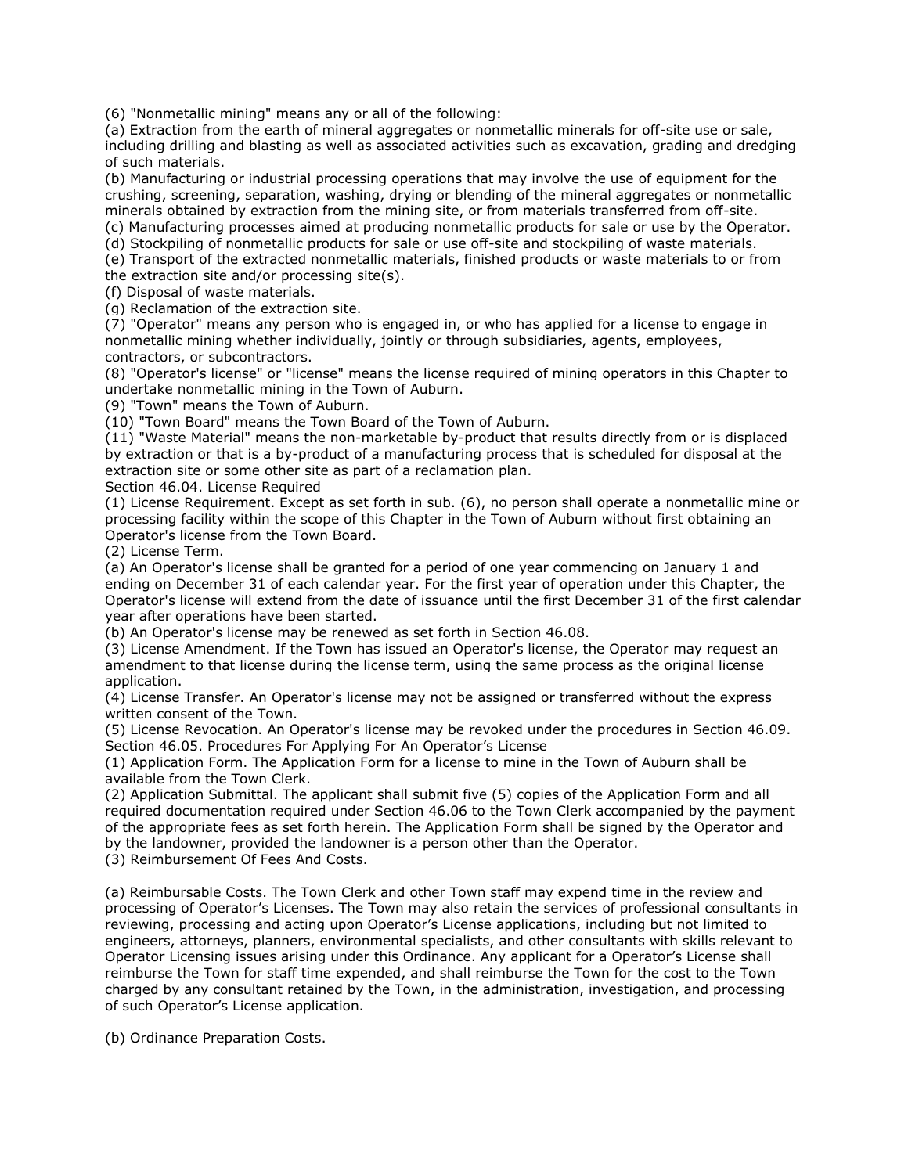(6) "Nonmetallic mining" means any or all of the following:

(a) Extraction from the earth of mineral aggregates or nonmetallic minerals for off-site use or sale, including drilling and blasting as well as associated activities such as excavation, grading and dredging of such materials.

(b) Manufacturing or industrial processing operations that may involve the use of equipment for the crushing, screening, separation, washing, drying or blending of the mineral aggregates or nonmetallic minerals obtained by extraction from the mining site, or from materials transferred from off-site.

(c) Manufacturing processes aimed at producing nonmetallic products for sale or use by the Operator.

(d) Stockpiling of nonmetallic products for sale or use off-site and stockpiling of waste materials.

(e) Transport of the extracted nonmetallic materials, finished products or waste materials to or from the extraction site and/or processing site(s).

(f) Disposal of waste materials.

(g) Reclamation of the extraction site.

(7) "Operator" means any person who is engaged in, or who has applied for a license to engage in nonmetallic mining whether individually, jointly or through subsidiaries, agents, employees, contractors, or subcontractors.

(8) "Operator's license" or "license" means the license required of mining operators in this Chapter to undertake nonmetallic mining in the Town of Auburn.

(9) "Town" means the Town of Auburn.

(10) "Town Board" means the Town Board of the Town of Auburn.

(11) "Waste Material" means the non-marketable by-product that results directly from or is displaced by extraction or that is a by-product of a manufacturing process that is scheduled for disposal at the extraction site or some other site as part of a reclamation plan.

Section 46.04. License Required

(1) License Requirement. Except as set forth in sub. (6), no person shall operate a nonmetallic mine or processing facility within the scope of this Chapter in the Town of Auburn without first obtaining an Operator's license from the Town Board.

(2) License Term.

(a) An Operator's license shall be granted for a period of one year commencing on January 1 and ending on December 31 of each calendar year. For the first year of operation under this Chapter, the Operator's license will extend from the date of issuance until the first December 31 of the first calendar year after operations have been started.

(b) An Operator's license may be renewed as set forth in Section 46.08.

(3) License Amendment. If the Town has issued an Operator's license, the Operator may request an amendment to that license during the license term, using the same process as the original license application.

(4) License Transfer. An Operator's license may not be assigned or transferred without the express written consent of the Town.

(5) License Revocation. An Operator's license may be revoked under the procedures in Section 46.09. Section 46.05. Procedures For Applying For An Operator's License

(1) Application Form. The Application Form for a license to mine in the Town of Auburn shall be available from the Town Clerk.

(2) Application Submittal. The applicant shall submit five (5) copies of the Application Form and all required documentation required under Section 46.06 to the Town Clerk accompanied by the payment of the appropriate fees as set forth herein. The Application Form shall be signed by the Operator and by the landowner, provided the landowner is a person other than the Operator.

(3) Reimbursement Of Fees And Costs.

(a) Reimbursable Costs. The Town Clerk and other Town staff may expend time in the review and processing of Operator's Licenses. The Town may also retain the services of professional consultants in reviewing, processing and acting upon Operator's License applications, including but not limited to engineers, attorneys, planners, environmental specialists, and other consultants with skills relevant to Operator Licensing issues arising under this Ordinance. Any applicant for a Operator's License shall reimburse the Town for staff time expended, and shall reimburse the Town for the cost to the Town charged by any consultant retained by the Town, in the administration, investigation, and processing of such Operator's License application.

(b) Ordinance Preparation Costs.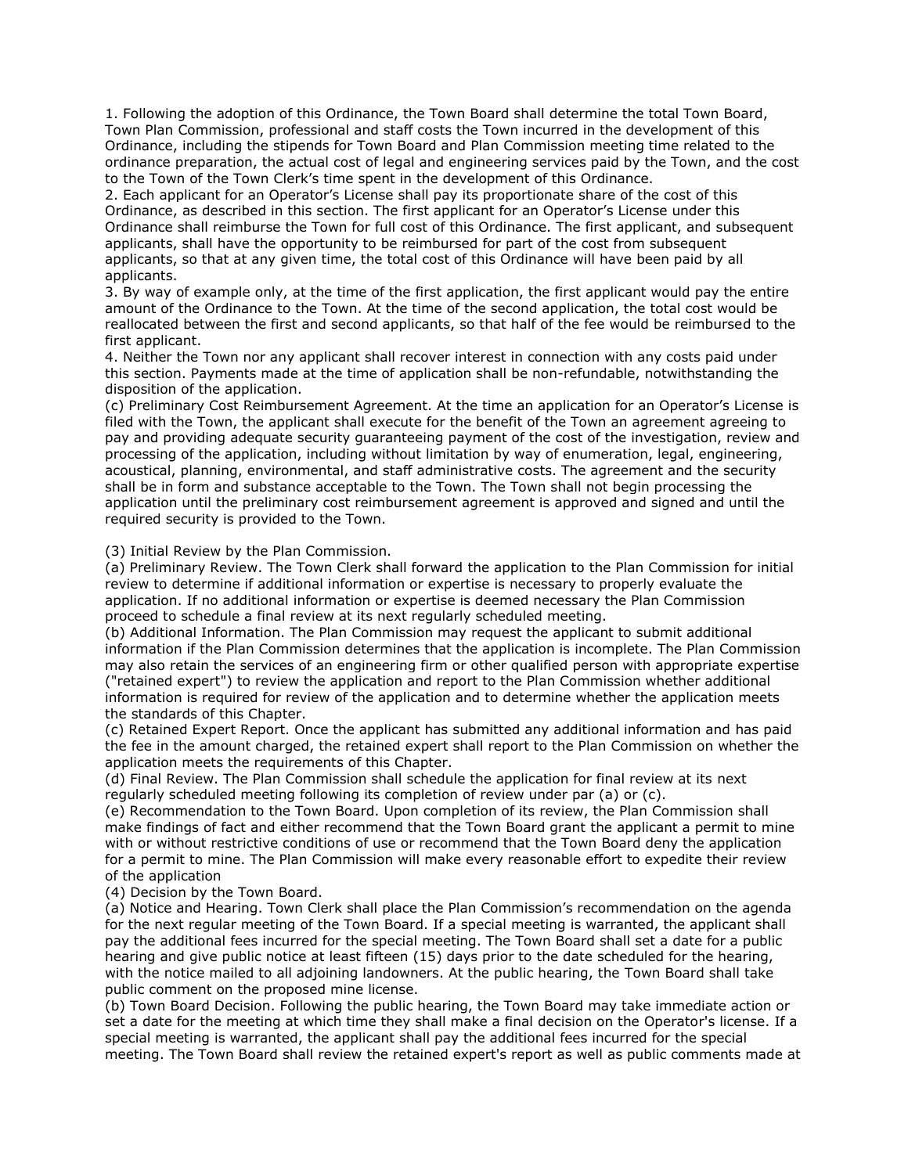1. Following the adoption of this Ordinance, the Town Board shall determine the total Town Board, Town Plan Commission, professional and staff costs the Town incurred in the development of this Ordinance, including the stipends for Town Board and Plan Commission meeting time related to the ordinance preparation, the actual cost of legal and engineering services paid by the Town, and the cost to the Town of the Town Clerk's time spent in the development of this Ordinance.

2. Each applicant for an Operator's License shall pay its proportionate share of the cost of this Ordinance, as described in this section. The first applicant for an Operator's License under this Ordinance shall reimburse the Town for full cost of this Ordinance. The first applicant, and subsequent applicants, shall have the opportunity to be reimbursed for part of the cost from subsequent applicants, so that at any given time, the total cost of this Ordinance will have been paid by all applicants.

3. By way of example only, at the time of the first application, the first applicant would pay the entire amount of the Ordinance to the Town. At the time of the second application, the total cost would be reallocated between the first and second applicants, so that half of the fee would be reimbursed to the first applicant.

4. Neither the Town nor any applicant shall recover interest in connection with any costs paid under this section. Payments made at the time of application shall be non-refundable, notwithstanding the disposition of the application.

(c) Preliminary Cost Reimbursement Agreement. At the time an application for an Operator's License is filed with the Town, the applicant shall execute for the benefit of the Town an agreement agreeing to pay and providing adequate security guaranteeing payment of the cost of the investigation, review and processing of the application, including without limitation by way of enumeration, legal, engineering, acoustical, planning, environmental, and staff administrative costs. The agreement and the security shall be in form and substance acceptable to the Town. The Town shall not begin processing the application until the preliminary cost reimbursement agreement is approved and signed and until the required security is provided to the Town.

(3) Initial Review by the Plan Commission.

(a) Preliminary Review. The Town Clerk shall forward the application to the Plan Commission for initial review to determine if additional information or expertise is necessary to properly evaluate the application. If no additional information or expertise is deemed necessary the Plan Commission proceed to schedule a final review at its next regularly scheduled meeting.

(b) Additional Information. The Plan Commission may request the applicant to submit additional information if the Plan Commission determines that the application is incomplete. The Plan Commission may also retain the services of an engineering firm or other qualified person with appropriate expertise ("retained expert") to review the application and report to the Plan Commission whether additional information is required for review of the application and to determine whether the application meets the standards of this Chapter.

(c) Retained Expert Report. Once the applicant has submitted any additional information and has paid the fee in the amount charged, the retained expert shall report to the Plan Commission on whether the application meets the requirements of this Chapter.

(d) Final Review. The Plan Commission shall schedule the application for final review at its next regularly scheduled meeting following its completion of review under par (a) or (c).

(e) Recommendation to the Town Board. Upon completion of its review, the Plan Commission shall make findings of fact and either recommend that the Town Board grant the applicant a permit to mine with or without restrictive conditions of use or recommend that the Town Board deny the application for a permit to mine. The Plan Commission will make every reasonable effort to expedite their review of the application

(4) Decision by the Town Board.

(a) Notice and Hearing. Town Clerk shall place the Plan Commission's recommendation on the agenda for the next regular meeting of the Town Board. If a special meeting is warranted, the applicant shall pay the additional fees incurred for the special meeting. The Town Board shall set a date for a public hearing and give public notice at least fifteen (15) days prior to the date scheduled for the hearing, with the notice mailed to all adjoining landowners. At the public hearing, the Town Board shall take public comment on the proposed mine license.

(b) Town Board Decision. Following the public hearing, the Town Board may take immediate action or set a date for the meeting at which time they shall make a final decision on the Operator's license. If a special meeting is warranted, the applicant shall pay the additional fees incurred for the special meeting. The Town Board shall review the retained expert's report as well as public comments made at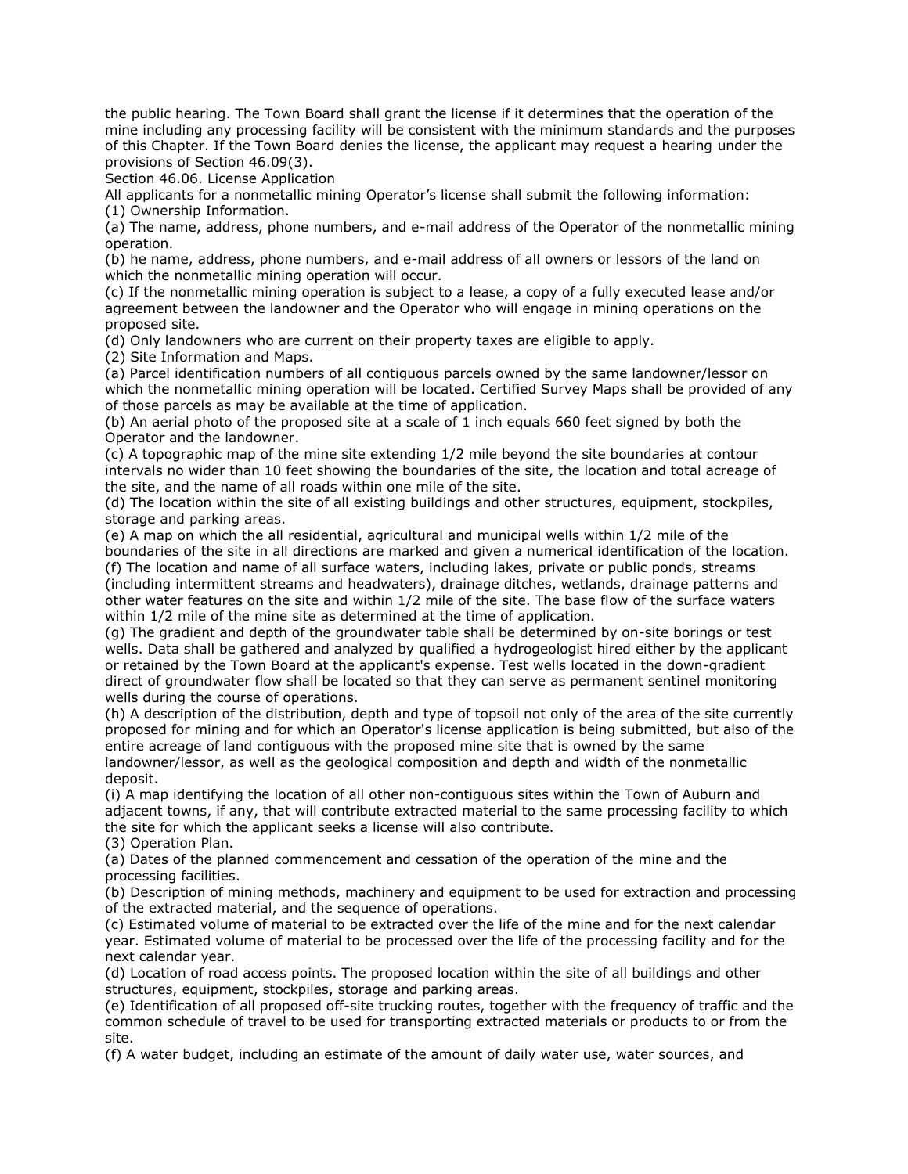the public hearing. The Town Board shall grant the license if it determines that the operation of the mine including any processing facility will be consistent with the minimum standards and the purposes of this Chapter. If the Town Board denies the license, the applicant may request a hearing under the provisions of Section 46.09(3).

Section 46.06. License Application

All applicants for a nonmetallic mining Operator's license shall submit the following information: (1) Ownership Information.

(a) The name, address, phone numbers, and e-mail address of the Operator of the nonmetallic mining operation.

(b) he name, address, phone numbers, and e-mail address of all owners or lessors of the land on which the nonmetallic mining operation will occur.

(c) If the nonmetallic mining operation is subject to a lease, a copy of a fully executed lease and/or agreement between the landowner and the Operator who will engage in mining operations on the proposed site.

(d) Only landowners who are current on their property taxes are eligible to apply.

(2) Site Information and Maps.

(a) Parcel identification numbers of all contiguous parcels owned by the same landowner/lessor on which the nonmetallic mining operation will be located. Certified Survey Maps shall be provided of any of those parcels as may be available at the time of application.

(b) An aerial photo of the proposed site at a scale of 1 inch equals 660 feet signed by both the Operator and the landowner.

(c) A topographic map of the mine site extending 1/2 mile beyond the site boundaries at contour intervals no wider than 10 feet showing the boundaries of the site, the location and total acreage of the site, and the name of all roads within one mile of the site.

(d) The location within the site of all existing buildings and other structures, equipment, stockpiles, storage and parking areas.

(e) A map on which the all residential, agricultural and municipal wells within 1/2 mile of the boundaries of the site in all directions are marked and given a numerical identification of the location. (f) The location and name of all surface waters, including lakes, private or public ponds, streams (including intermittent streams and headwaters), drainage ditches, wetlands, drainage patterns and other water features on the site and within 1/2 mile of the site. The base flow of the surface waters within 1/2 mile of the mine site as determined at the time of application.

(g) The gradient and depth of the groundwater table shall be determined by on-site borings or test wells. Data shall be gathered and analyzed by qualified a hydrogeologist hired either by the applicant or retained by the Town Board at the applicant's expense. Test wells located in the down-gradient direct of groundwater flow shall be located so that they can serve as permanent sentinel monitoring wells during the course of operations.

(h) A description of the distribution, depth and type of topsoil not only of the area of the site currently proposed for mining and for which an Operator's license application is being submitted, but also of the entire acreage of land contiguous with the proposed mine site that is owned by the same landowner/lessor, as well as the geological composition and depth and width of the nonmetallic deposit.

(i) A map identifying the location of all other non-contiguous sites within the Town of Auburn and adjacent towns, if any, that will contribute extracted material to the same processing facility to which the site for which the applicant seeks a license will also contribute.

(3) Operation Plan.

(a) Dates of the planned commencement and cessation of the operation of the mine and the processing facilities.

(b) Description of mining methods, machinery and equipment to be used for extraction and processing of the extracted material, and the sequence of operations.

(c) Estimated volume of material to be extracted over the life of the mine and for the next calendar year. Estimated volume of material to be processed over the life of the processing facility and for the next calendar year.

(d) Location of road access points. The proposed location within the site of all buildings and other structures, equipment, stockpiles, storage and parking areas.

(e) Identification of all proposed off-site trucking routes, together with the frequency of traffic and the common schedule of travel to be used for transporting extracted materials or products to or from the site.

(f) A water budget, including an estimate of the amount of daily water use, water sources, and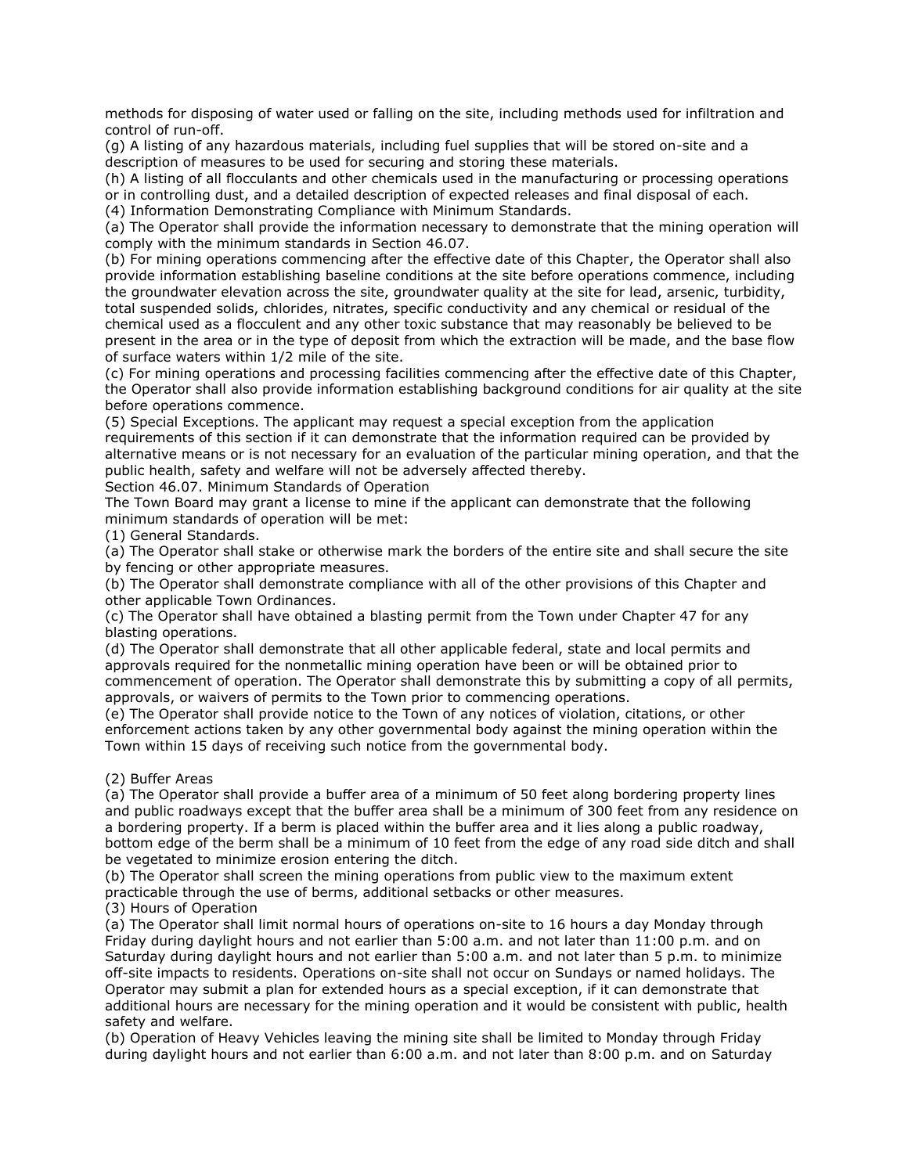methods for disposing of water used or falling on the site, including methods used for infiltration and control of run-off.

(g) A listing of any hazardous materials, including fuel supplies that will be stored on-site and a description of measures to be used for securing and storing these materials.

(h) A listing of all flocculants and other chemicals used in the manufacturing or processing operations or in controlling dust, and a detailed description of expected releases and final disposal of each. (4) Information Demonstrating Compliance with Minimum Standards.

(a) The Operator shall provide the information necessary to demonstrate that the mining operation will comply with the minimum standards in Section 46.07.

(b) For mining operations commencing after the effective date of this Chapter, the Operator shall also provide information establishing baseline conditions at the site before operations commence, including the groundwater elevation across the site, groundwater quality at the site for lead, arsenic, turbidity, total suspended solids, chlorides, nitrates, specific conductivity and any chemical or residual of the chemical used as a flocculent and any other toxic substance that may reasonably be believed to be present in the area or in the type of deposit from which the extraction will be made, and the base flow of surface waters within 1/2 mile of the site.

(c) For mining operations and processing facilities commencing after the effective date of this Chapter, the Operator shall also provide information establishing background conditions for air quality at the site before operations commence.

(5) Special Exceptions. The applicant may request a special exception from the application requirements of this section if it can demonstrate that the information required can be provided by alternative means or is not necessary for an evaluation of the particular mining operation, and that the public health, safety and welfare will not be adversely affected thereby.

Section 46.07. Minimum Standards of Operation

The Town Board may grant a license to mine if the applicant can demonstrate that the following minimum standards of operation will be met:

(1) General Standards.

(a) The Operator shall stake or otherwise mark the borders of the entire site and shall secure the site by fencing or other appropriate measures.

(b) The Operator shall demonstrate compliance with all of the other provisions of this Chapter and other applicable Town Ordinances.

(c) The Operator shall have obtained a blasting permit from the Town under Chapter 47 for any blasting operations.

(d) The Operator shall demonstrate that all other applicable federal, state and local permits and approvals required for the nonmetallic mining operation have been or will be obtained prior to commencement of operation. The Operator shall demonstrate this by submitting a copy of all permits, approvals, or waivers of permits to the Town prior to commencing operations.

(e) The Operator shall provide notice to the Town of any notices of violation, citations, or other enforcement actions taken by any other governmental body against the mining operation within the Town within 15 days of receiving such notice from the governmental body.

(2) Buffer Areas

(a) The Operator shall provide a buffer area of a minimum of 50 feet along bordering property lines and public roadways except that the buffer area shall be a minimum of 300 feet from any residence on a bordering property. If a berm is placed within the buffer area and it lies along a public roadway, bottom edge of the berm shall be a minimum of 10 feet from the edge of any road side ditch and shall be vegetated to minimize erosion entering the ditch.

(b) The Operator shall screen the mining operations from public view to the maximum extent practicable through the use of berms, additional setbacks or other measures.

(3) Hours of Operation

(a) The Operator shall limit normal hours of operations on-site to 16 hours a day Monday through Friday during daylight hours and not earlier than 5:00 a.m. and not later than 11:00 p.m. and on Saturday during daylight hours and not earlier than 5:00 a.m. and not later than 5 p.m. to minimize off-site impacts to residents. Operations on-site shall not occur on Sundays or named holidays. The Operator may submit a plan for extended hours as a special exception, if it can demonstrate that additional hours are necessary for the mining operation and it would be consistent with public, health safety and welfare.

(b) Operation of Heavy Vehicles leaving the mining site shall be limited to Monday through Friday during daylight hours and not earlier than 6:00 a.m. and not later than 8:00 p.m. and on Saturday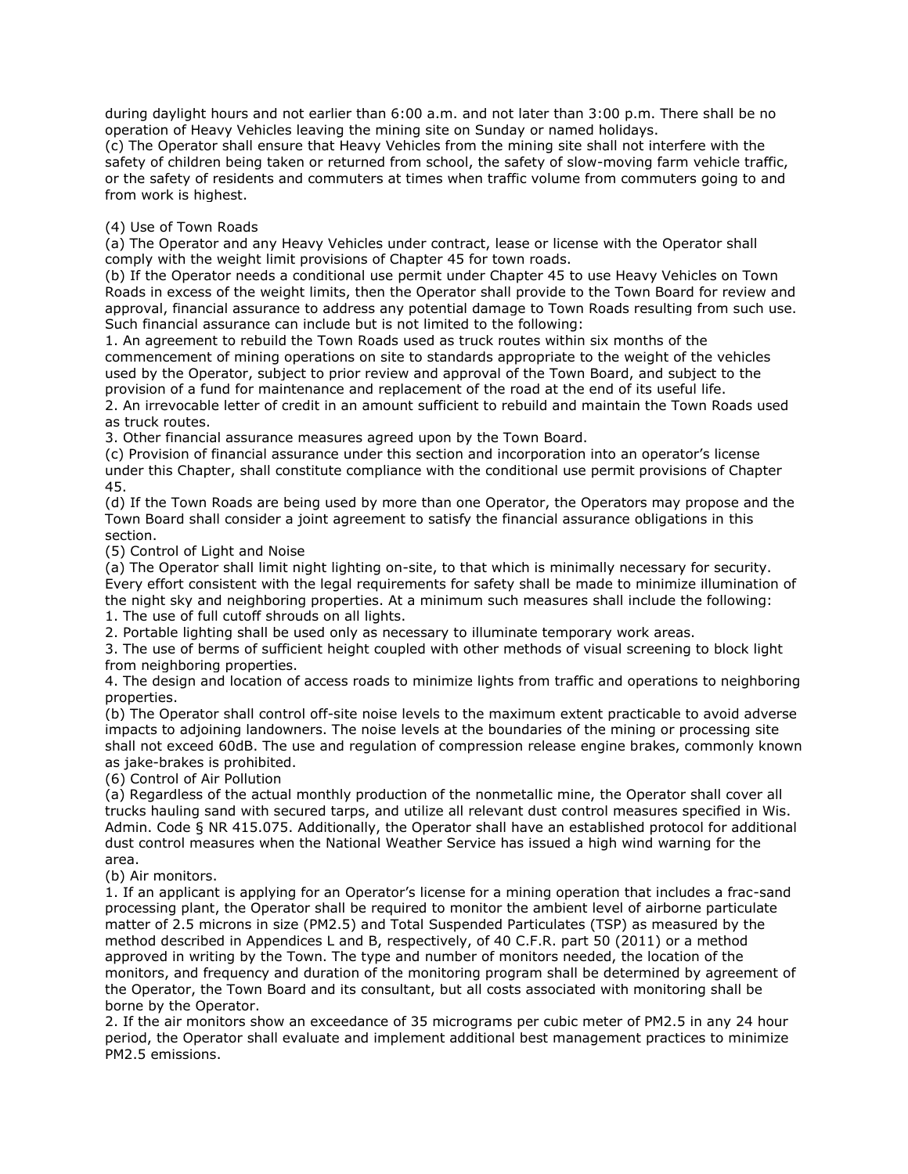during daylight hours and not earlier than 6:00 a.m. and not later than 3:00 p.m. There shall be no operation of Heavy Vehicles leaving the mining site on Sunday or named holidays.

(c) The Operator shall ensure that Heavy Vehicles from the mining site shall not interfere with the safety of children being taken or returned from school, the safety of slow-moving farm vehicle traffic, or the safety of residents and commuters at times when traffic volume from commuters going to and from work is highest.

## (4) Use of Town Roads

(a) The Operator and any Heavy Vehicles under contract, lease or license with the Operator shall comply with the weight limit provisions of Chapter 45 for town roads.

(b) If the Operator needs a conditional use permit under Chapter 45 to use Heavy Vehicles on Town Roads in excess of the weight limits, then the Operator shall provide to the Town Board for review and approval, financial assurance to address any potential damage to Town Roads resulting from such use. Such financial assurance can include but is not limited to the following:

1. An agreement to rebuild the Town Roads used as truck routes within six months of the commencement of mining operations on site to standards appropriate to the weight of the vehicles used by the Operator, subject to prior review and approval of the Town Board, and subject to the provision of a fund for maintenance and replacement of the road at the end of its useful life.

2. An irrevocable letter of credit in an amount sufficient to rebuild and maintain the Town Roads used as truck routes.

3. Other financial assurance measures agreed upon by the Town Board.

(c) Provision of financial assurance under this section and incorporation into an operator's license under this Chapter, shall constitute compliance with the conditional use permit provisions of Chapter 45.

(d) If the Town Roads are being used by more than one Operator, the Operators may propose and the Town Board shall consider a joint agreement to satisfy the financial assurance obligations in this section.

(5) Control of Light and Noise

(a) The Operator shall limit night lighting on-site, to that which is minimally necessary for security. Every effort consistent with the legal requirements for safety shall be made to minimize illumination of the night sky and neighboring properties. At a minimum such measures shall include the following:

1. The use of full cutoff shrouds on all lights.

2. Portable lighting shall be used only as necessary to illuminate temporary work areas.

3. The use of berms of sufficient height coupled with other methods of visual screening to block light from neighboring properties.

4. The design and location of access roads to minimize lights from traffic and operations to neighboring properties.

(b) The Operator shall control off-site noise levels to the maximum extent practicable to avoid adverse impacts to adjoining landowners. The noise levels at the boundaries of the mining or processing site shall not exceed 60dB. The use and regulation of compression release engine brakes, commonly known as jake-brakes is prohibited.

(6) Control of Air Pollution

(a) Regardless of the actual monthly production of the nonmetallic mine, the Operator shall cover all trucks hauling sand with secured tarps, and utilize all relevant dust control measures specified in Wis. Admin. Code § NR 415.075. Additionally, the Operator shall have an established protocol for additional dust control measures when the National Weather Service has issued a high wind warning for the area.

(b) Air monitors.

1. If an applicant is applying for an Operator's license for a mining operation that includes a frac-sand processing plant, the Operator shall be required to monitor the ambient level of airborne particulate matter of 2.5 microns in size (PM2.5) and Total Suspended Particulates (TSP) as measured by the method described in Appendices L and B, respectively, of 40 C.F.R. part 50 (2011) or a method approved in writing by the Town. The type and number of monitors needed, the location of the monitors, and frequency and duration of the monitoring program shall be determined by agreement of the Operator, the Town Board and its consultant, but all costs associated with monitoring shall be borne by the Operator.

2. If the air monitors show an exceedance of 35 micrograms per cubic meter of PM2.5 in any 24 hour period, the Operator shall evaluate and implement additional best management practices to minimize PM2.5 emissions.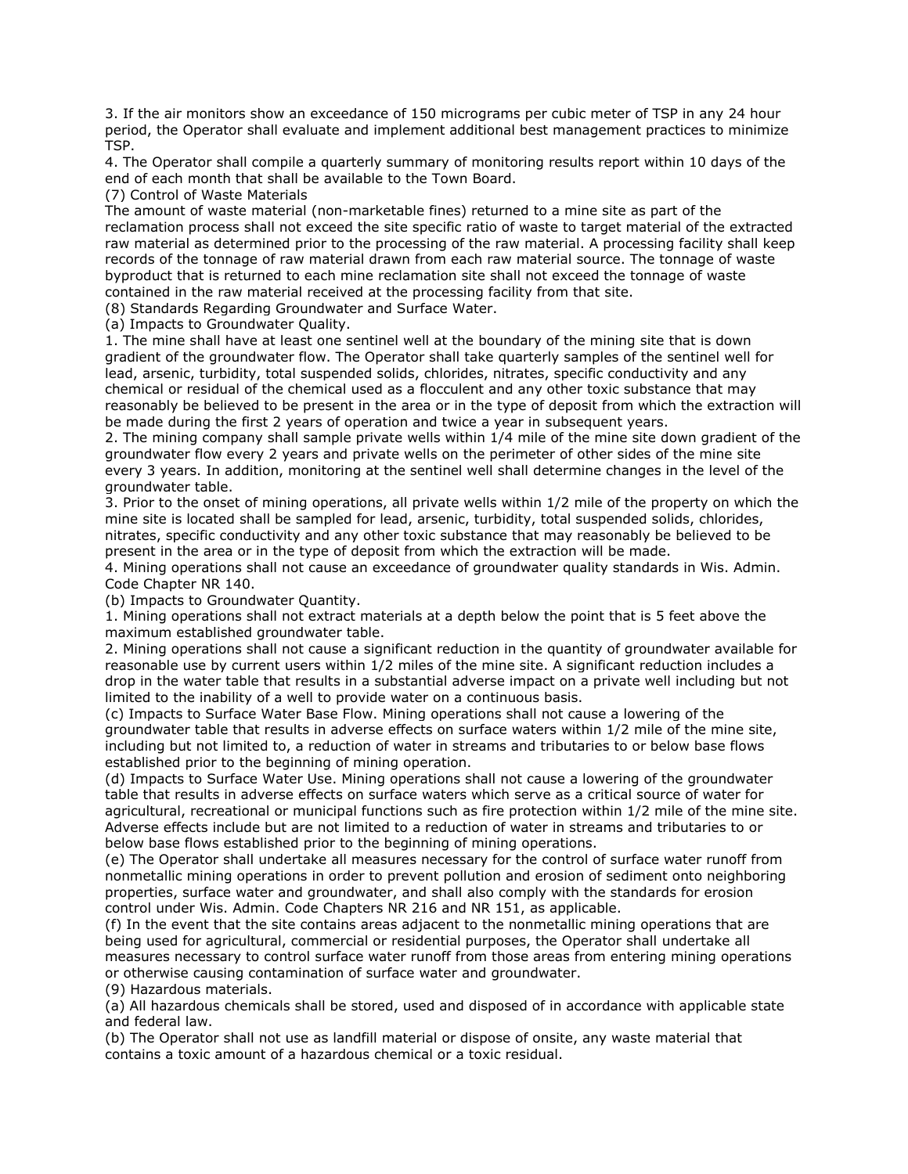3. If the air monitors show an exceedance of 150 micrograms per cubic meter of TSP in any 24 hour period, the Operator shall evaluate and implement additional best management practices to minimize TSP.

4. The Operator shall compile a quarterly summary of monitoring results report within 10 days of the end of each month that shall be available to the Town Board.

(7) Control of Waste Materials

The amount of waste material (non-marketable fines) returned to a mine site as part of the reclamation process shall not exceed the site specific ratio of waste to target material of the extracted raw material as determined prior to the processing of the raw material. A processing facility shall keep records of the tonnage of raw material drawn from each raw material source. The tonnage of waste byproduct that is returned to each mine reclamation site shall not exceed the tonnage of waste contained in the raw material received at the processing facility from that site.

(8) Standards Regarding Groundwater and Surface Water.

(a) Impacts to Groundwater Quality.

1. The mine shall have at least one sentinel well at the boundary of the mining site that is down gradient of the groundwater flow. The Operator shall take quarterly samples of the sentinel well for lead, arsenic, turbidity, total suspended solids, chlorides, nitrates, specific conductivity and any chemical or residual of the chemical used as a flocculent and any other toxic substance that may reasonably be believed to be present in the area or in the type of deposit from which the extraction will be made during the first 2 years of operation and twice a year in subsequent years.

2. The mining company shall sample private wells within 1/4 mile of the mine site down gradient of the groundwater flow every 2 years and private wells on the perimeter of other sides of the mine site every 3 years. In addition, monitoring at the sentinel well shall determine changes in the level of the groundwater table.

3. Prior to the onset of mining operations, all private wells within 1/2 mile of the property on which the mine site is located shall be sampled for lead, arsenic, turbidity, total suspended solids, chlorides, nitrates, specific conductivity and any other toxic substance that may reasonably be believed to be present in the area or in the type of deposit from which the extraction will be made.

4. Mining operations shall not cause an exceedance of groundwater quality standards in Wis. Admin. Code Chapter NR 140.

(b) Impacts to Groundwater Quantity.

1. Mining operations shall not extract materials at a depth below the point that is 5 feet above the maximum established groundwater table.

2. Mining operations shall not cause a significant reduction in the quantity of groundwater available for reasonable use by current users within 1/2 miles of the mine site. A significant reduction includes a drop in the water table that results in a substantial adverse impact on a private well including but not limited to the inability of a well to provide water on a continuous basis.

(c) Impacts to Surface Water Base Flow. Mining operations shall not cause a lowering of the groundwater table that results in adverse effects on surface waters within 1/2 mile of the mine site, including but not limited to, a reduction of water in streams and tributaries to or below base flows established prior to the beginning of mining operation.

(d) Impacts to Surface Water Use. Mining operations shall not cause a lowering of the groundwater table that results in adverse effects on surface waters which serve as a critical source of water for agricultural, recreational or municipal functions such as fire protection within 1/2 mile of the mine site. Adverse effects include but are not limited to a reduction of water in streams and tributaries to or below base flows established prior to the beginning of mining operations.

(e) The Operator shall undertake all measures necessary for the control of surface water runoff from nonmetallic mining operations in order to prevent pollution and erosion of sediment onto neighboring properties, surface water and groundwater, and shall also comply with the standards for erosion control under Wis. Admin. Code Chapters NR 216 and NR 151, as applicable.

(f) In the event that the site contains areas adjacent to the nonmetallic mining operations that are being used for agricultural, commercial or residential purposes, the Operator shall undertake all measures necessary to control surface water runoff from those areas from entering mining operations or otherwise causing contamination of surface water and groundwater.

(9) Hazardous materials.

(a) All hazardous chemicals shall be stored, used and disposed of in accordance with applicable state and federal law.

(b) The Operator shall not use as landfill material or dispose of onsite, any waste material that contains a toxic amount of a hazardous chemical or a toxic residual.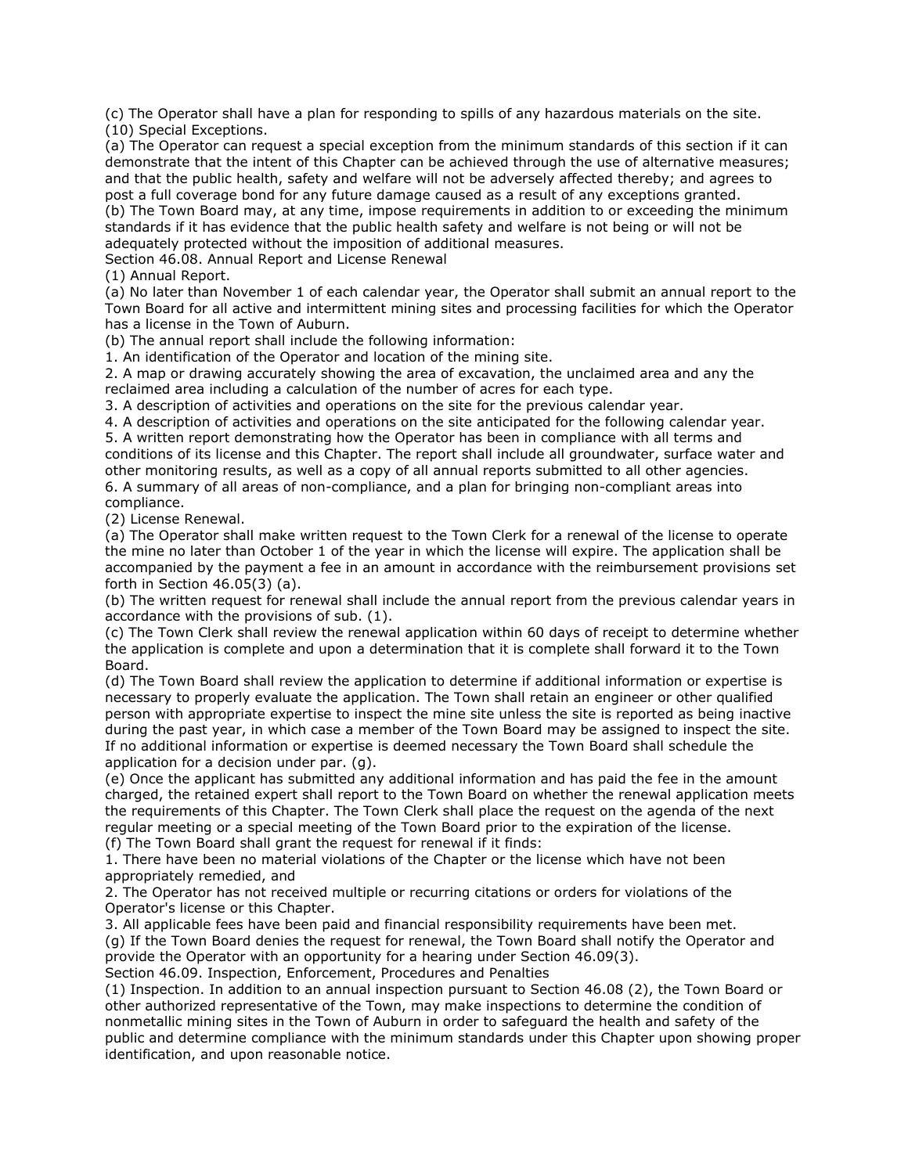(c) The Operator shall have a plan for responding to spills of any hazardous materials on the site. (10) Special Exceptions.

(a) The Operator can request a special exception from the minimum standards of this section if it can demonstrate that the intent of this Chapter can be achieved through the use of alternative measures; and that the public health, safety and welfare will not be adversely affected thereby; and agrees to post a full coverage bond for any future damage caused as a result of any exceptions granted. (b) The Town Board may, at any time, impose requirements in addition to or exceeding the minimum standards if it has evidence that the public health safety and welfare is not being or will not be adequately protected without the imposition of additional measures.

Section 46.08. Annual Report and License Renewal

(1) Annual Report.

(a) No later than November 1 of each calendar year, the Operator shall submit an annual report to the Town Board for all active and intermittent mining sites and processing facilities for which the Operator has a license in the Town of Auburn.

(b) The annual report shall include the following information:

1. An identification of the Operator and location of the mining site.

2. A map or drawing accurately showing the area of excavation, the unclaimed area and any the reclaimed area including a calculation of the number of acres for each type.

3. A description of activities and operations on the site for the previous calendar year.

4. A description of activities and operations on the site anticipated for the following calendar year. 5. A written report demonstrating how the Operator has been in compliance with all terms and conditions of its license and this Chapter. The report shall include all groundwater, surface water and other monitoring results, as well as a copy of all annual reports submitted to all other agencies.

6. A summary of all areas of non-compliance, and a plan for bringing non-compliant areas into compliance.

(2) License Renewal.

(a) The Operator shall make written request to the Town Clerk for a renewal of the license to operate the mine no later than October 1 of the year in which the license will expire. The application shall be accompanied by the payment a fee in an amount in accordance with the reimbursement provisions set forth in Section 46.05(3) (a).

(b) The written request for renewal shall include the annual report from the previous calendar years in accordance with the provisions of sub. (1).

(c) The Town Clerk shall review the renewal application within 60 days of receipt to determine whether the application is complete and upon a determination that it is complete shall forward it to the Town Board.

(d) The Town Board shall review the application to determine if additional information or expertise is necessary to properly evaluate the application. The Town shall retain an engineer or other qualified person with appropriate expertise to inspect the mine site unless the site is reported as being inactive during the past year, in which case a member of the Town Board may be assigned to inspect the site. If no additional information or expertise is deemed necessary the Town Board shall schedule the application for a decision under par. (g).

(e) Once the applicant has submitted any additional information and has paid the fee in the amount charged, the retained expert shall report to the Town Board on whether the renewal application meets the requirements of this Chapter. The Town Clerk shall place the request on the agenda of the next regular meeting or a special meeting of the Town Board prior to the expiration of the license.

(f) The Town Board shall grant the request for renewal if it finds:

1. There have been no material violations of the Chapter or the license which have not been appropriately remedied, and

2. The Operator has not received multiple or recurring citations or orders for violations of the Operator's license or this Chapter.

3. All applicable fees have been paid and financial responsibility requirements have been met. (g) If the Town Board denies the request for renewal, the Town Board shall notify the Operator and provide the Operator with an opportunity for a hearing under Section 46.09(3). Section 46.09. Inspection, Enforcement, Procedures and Penalties

(1) Inspection. In addition to an annual inspection pursuant to Section 46.08 (2), the Town Board or other authorized representative of the Town, may make inspections to determine the condition of nonmetallic mining sites in the Town of Auburn in order to safeguard the health and safety of the public and determine compliance with the minimum standards under this Chapter upon showing proper identification, and upon reasonable notice.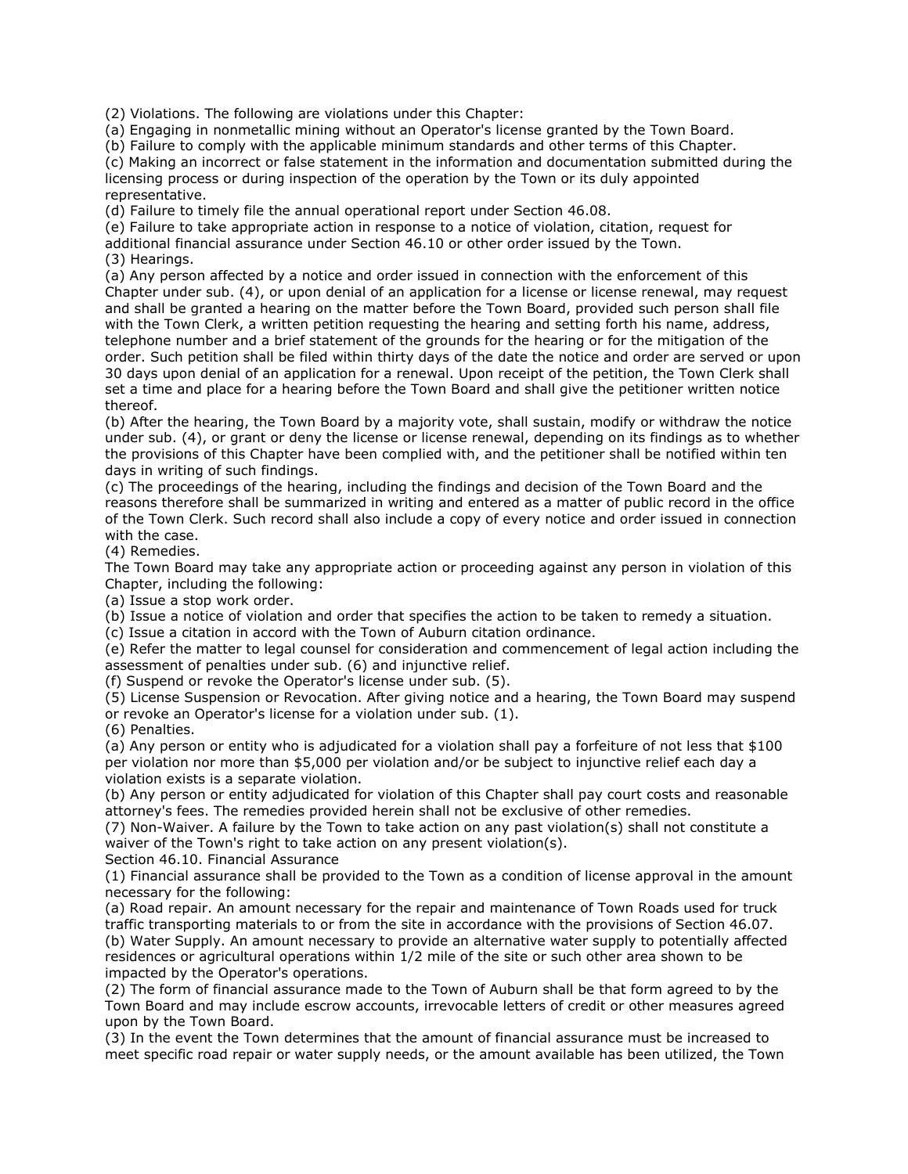(2) Violations. The following are violations under this Chapter:

(a) Engaging in nonmetallic mining without an Operator's license granted by the Town Board.

(b) Failure to comply with the applicable minimum standards and other terms of this Chapter.

(c) Making an incorrect or false statement in the information and documentation submitted during the licensing process or during inspection of the operation by the Town or its duly appointed representative.

(d) Failure to timely file the annual operational report under Section 46.08.

(e) Failure to take appropriate action in response to a notice of violation, citation, request for

additional financial assurance under Section 46.10 or other order issued by the Town.

(3) Hearings.

(a) Any person affected by a notice and order issued in connection with the enforcement of this Chapter under sub. (4), or upon denial of an application for a license or license renewal, may request and shall be granted a hearing on the matter before the Town Board, provided such person shall file with the Town Clerk, a written petition requesting the hearing and setting forth his name, address, telephone number and a brief statement of the grounds for the hearing or for the mitigation of the order. Such petition shall be filed within thirty days of the date the notice and order are served or upon 30 days upon denial of an application for a renewal. Upon receipt of the petition, the Town Clerk shall set a time and place for a hearing before the Town Board and shall give the petitioner written notice thereof.

(b) After the hearing, the Town Board by a majority vote, shall sustain, modify or withdraw the notice under sub. (4), or grant or deny the license or license renewal, depending on its findings as to whether the provisions of this Chapter have been complied with, and the petitioner shall be notified within ten days in writing of such findings.

(c) The proceedings of the hearing, including the findings and decision of the Town Board and the reasons therefore shall be summarized in writing and entered as a matter of public record in the office of the Town Clerk. Such record shall also include a copy of every notice and order issued in connection with the case.

(4) Remedies.

The Town Board may take any appropriate action or proceeding against any person in violation of this Chapter, including the following:

(a) Issue a stop work order.

(b) Issue a notice of violation and order that specifies the action to be taken to remedy a situation.

(c) Issue a citation in accord with the Town of Auburn citation ordinance.

(e) Refer the matter to legal counsel for consideration and commencement of legal action including the assessment of penalties under sub. (6) and injunctive relief.

(f) Suspend or revoke the Operator's license under sub. (5).

(5) License Suspension or Revocation. After giving notice and a hearing, the Town Board may suspend or revoke an Operator's license for a violation under sub. (1).

(6) Penalties.

(a) Any person or entity who is adjudicated for a violation shall pay a forfeiture of not less that \$100 per violation nor more than \$5,000 per violation and/or be subject to injunctive relief each day a violation exists is a separate violation.

(b) Any person or entity adjudicated for violation of this Chapter shall pay court costs and reasonable attorney's fees. The remedies provided herein shall not be exclusive of other remedies.

(7) Non-Waiver. A failure by the Town to take action on any past violation(s) shall not constitute a waiver of the Town's right to take action on any present violation(s).

Section 46.10. Financial Assurance

(1) Financial assurance shall be provided to the Town as a condition of license approval in the amount necessary for the following:

(a) Road repair. An amount necessary for the repair and maintenance of Town Roads used for truck traffic transporting materials to or from the site in accordance with the provisions of Section 46.07. (b) Water Supply. An amount necessary to provide an alternative water supply to potentially affected residences or agricultural operations within 1/2 mile of the site or such other area shown to be impacted by the Operator's operations.

(2) The form of financial assurance made to the Town of Auburn shall be that form agreed to by the Town Board and may include escrow accounts, irrevocable letters of credit or other measures agreed upon by the Town Board.

(3) In the event the Town determines that the amount of financial assurance must be increased to meet specific road repair or water supply needs, or the amount available has been utilized, the Town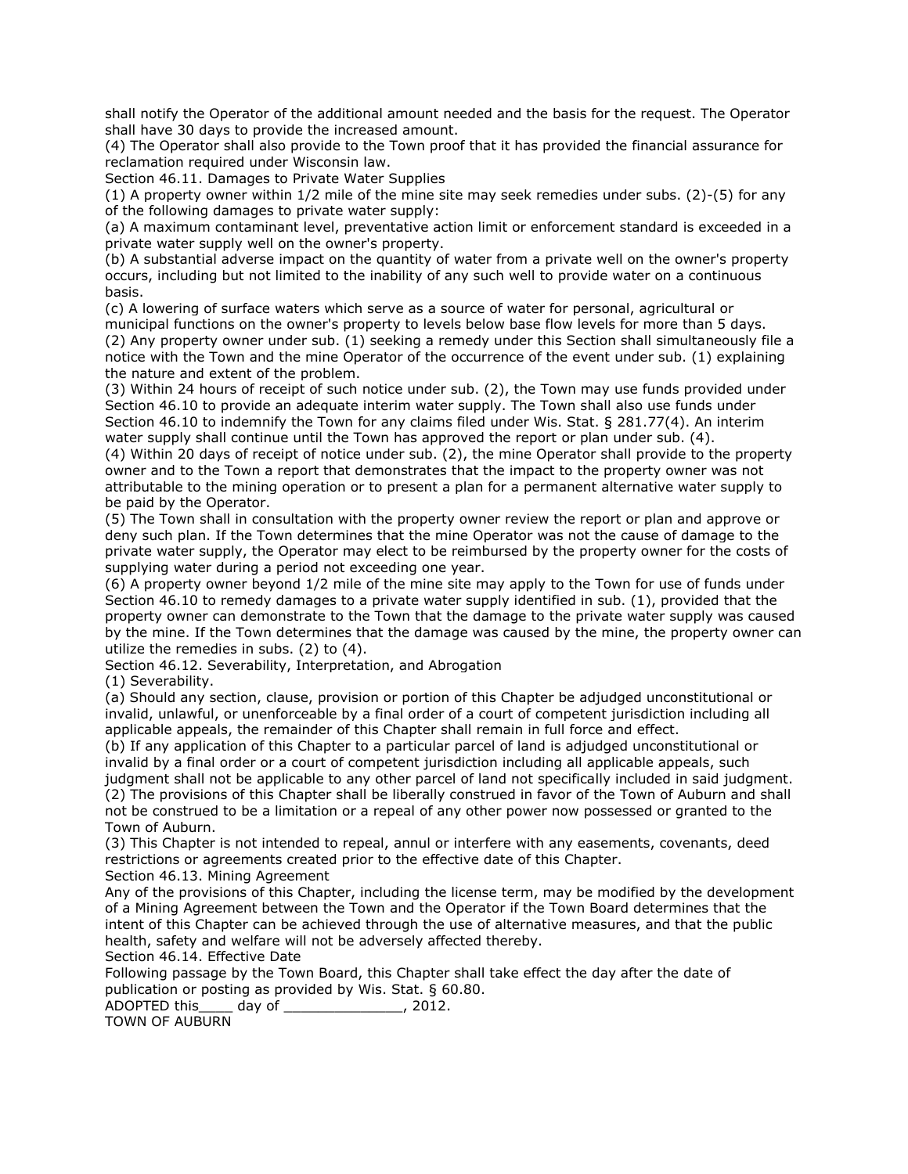shall notify the Operator of the additional amount needed and the basis for the request. The Operator shall have 30 days to provide the increased amount.

(4) The Operator shall also provide to the Town proof that it has provided the financial assurance for reclamation required under Wisconsin law.

Section 46.11. Damages to Private Water Supplies

(1) A property owner within 1/2 mile of the mine site may seek remedies under subs. (2)-(5) for any of the following damages to private water supply:

(a) A maximum contaminant level, preventative action limit or enforcement standard is exceeded in a private water supply well on the owner's property.

(b) A substantial adverse impact on the quantity of water from a private well on the owner's property occurs, including but not limited to the inability of any such well to provide water on a continuous basis.

(c) A lowering of surface waters which serve as a source of water for personal, agricultural or municipal functions on the owner's property to levels below base flow levels for more than 5 days. (2) Any property owner under sub. (1) seeking a remedy under this Section shall simultaneously file a notice with the Town and the mine Operator of the occurrence of the event under sub. (1) explaining the nature and extent of the problem.

(3) Within 24 hours of receipt of such notice under sub. (2), the Town may use funds provided under Section 46.10 to provide an adequate interim water supply. The Town shall also use funds under Section 46.10 to indemnify the Town for any claims filed under Wis. Stat. § 281.77(4). An interim water supply shall continue until the Town has approved the report or plan under sub. (4).

(4) Within 20 days of receipt of notice under sub. (2), the mine Operator shall provide to the property owner and to the Town a report that demonstrates that the impact to the property owner was not attributable to the mining operation or to present a plan for a permanent alternative water supply to be paid by the Operator.

(5) The Town shall in consultation with the property owner review the report or plan and approve or deny such plan. If the Town determines that the mine Operator was not the cause of damage to the private water supply, the Operator may elect to be reimbursed by the property owner for the costs of supplying water during a period not exceeding one year.

(6) A property owner beyond 1/2 mile of the mine site may apply to the Town for use of funds under Section 46.10 to remedy damages to a private water supply identified in sub. (1), provided that the property owner can demonstrate to the Town that the damage to the private water supply was caused by the mine. If the Town determines that the damage was caused by the mine, the property owner can utilize the remedies in subs. (2) to (4).

Section 46.12. Severability, Interpretation, and Abrogation

(1) Severability.

(a) Should any section, clause, provision or portion of this Chapter be adjudged unconstitutional or invalid, unlawful, or unenforceable by a final order of a court of competent jurisdiction including all applicable appeals, the remainder of this Chapter shall remain in full force and effect.

(b) If any application of this Chapter to a particular parcel of land is adjudged unconstitutional or invalid by a final order or a court of competent jurisdiction including all applicable appeals, such judgment shall not be applicable to any other parcel of land not specifically included in said judgment. (2) The provisions of this Chapter shall be liberally construed in favor of the Town of Auburn and shall not be construed to be a limitation or a repeal of any other power now possessed or granted to the Town of Auburn.

(3) This Chapter is not intended to repeal, annul or interfere with any easements, covenants, deed restrictions or agreements created prior to the effective date of this Chapter. Section 46.13. Mining Agreement

Any of the provisions of this Chapter, including the license term, may be modified by the development of a Mining Agreement between the Town and the Operator if the Town Board determines that the intent of this Chapter can be achieved through the use of alternative measures, and that the public health, safety and welfare will not be adversely affected thereby.

Section 46.14. Effective Date

Following passage by the Town Board, this Chapter shall take effect the day after the date of publication or posting as provided by Wis. Stat. § 60.80.

ADOPTED this\_\_\_\_ day of \_\_\_\_\_\_\_\_\_\_\_\_\_\_, 2012.

TOWN OF AUBURN